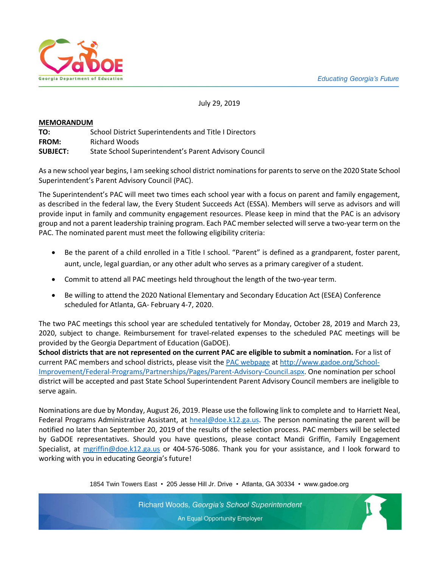

July 29, 2019

#### **MEMORANDUM**

**TO:** School District Superintendents and Title I Directors **FROM:** Richard Woods **SUBJECT:** State School Superintendent's Parent Advisory Council

As a new school year begins, I am seeking school district nominations for parents to serve on the 2020 State School Superintendent's Parent Advisory Council (PAC).

The Superintendent's PAC will meet two times each school year with a focus on parent and family engagement, as described in the federal law, the Every Student Succeeds Act (ESSA). Members will serve as advisors and will provide input in family and community engagement resources. Please keep in mind that the PAC is an advisory group and not a parent leadership training program. Each PAC member selected will serve a two-year term on the PAC. The nominated parent must meet the following eligibility criteria:

- Be the parent of a child enrolled in a Title I school. "Parent" is defined as a grandparent, foster parent, aunt, uncle, legal guardian, or any other adult who serves as a primary caregiver of a student.
- Commit to attend all PAC meetings held throughout the length of the two-year term.
- Be willing to attend the 2020 National Elementary and Secondary Education Act (ESEA) Conference scheduled for Atlanta, GA- February 4-7, 2020.

The two PAC meetings this school year are scheduled tentatively for Monday, October 28, 2019 and March 23, 2020, subject to change. Reimbursement for travel-related expenses to the scheduled PAC meetings will be provided by the Georgia Department of Education (GaDOE).

**School districts that are not represented on the current PAC are eligible to submit a nomination.** For a list of current PAC members and school districts, please visit the [PAC webpage](PAC%20webpage) a[t http://www.gadoe.org/School-](http://www.gadoe.org/School-Improvement/Federal-Programs/Partnerships/Pages/Parent-Advisory-Council.aspx)[Improvement/Federal-Programs/Partnerships/Pages/Parent-Advisory-Council.aspx.](http://www.gadoe.org/School-Improvement/Federal-Programs/Partnerships/Pages/Parent-Advisory-Council.aspx) One nomination per school district will be accepted and past State School Superintendent Parent Advisory Council members are ineligible to serve again.

Nominations are due by Monday, August 26, 2019. Please use the following link to complete and to Harriett Neal, Federal Programs Administrative Assistant, at [hneal@doe.k12.ga.us.](mailto:hneal@doe.k12.ga.us) The person nominating the parent will be notified no later than September 20, 2019 of the results of the selection process. PAC members will be selected by GaDOE representatives. Should you have questions, please contact Mandi Griffin, Family Engagement Specialist, at [mgriffin@doe.k12.ga.us](mailto:mgriffin@doe.k12.ga.us) or 404-576-5086. Thank you for your assistance, and I look forward to working with you in educating Georgia's future!

1854 Twin Towers East • 205 Jesse Hill Jr. Drive • Atlanta, GA 30334 • www.gadoe.org

Richard Woods, Georgia's School Superintendent An Equal Opportunity Employer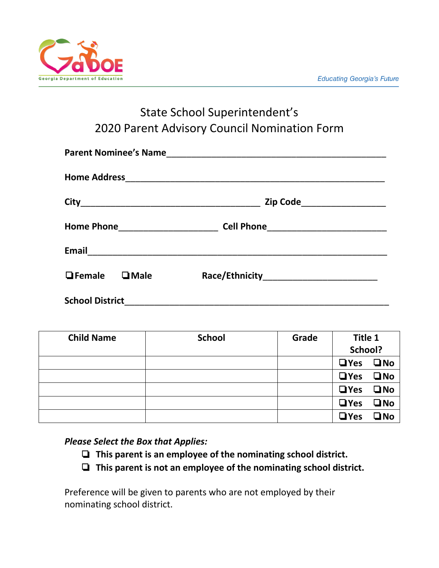

### State School Superintendent's 2020 Parent Advisory Council Nomination Form

|                           |  | Zip Code_____________________ |  |  |
|---------------------------|--|-------------------------------|--|--|
|                           |  |                               |  |  |
|                           |  |                               |  |  |
| $\Box$ Female $\Box$ Male |  |                               |  |  |
| <b>School District</b>    |  |                               |  |  |

| <b>Child Name</b> | <b>School</b> | Grade | Title 1              |              |
|-------------------|---------------|-------|----------------------|--------------|
|                   |               |       | School?              |              |
|                   |               |       | $\Box$ Yes $\Box$ No |              |
|                   |               |       | $\Box$ Yes           | $\square$ No |
|                   |               |       | $\Box$ Yes           | $\square$ No |
|                   |               |       | $\Box$ Yes           | $\square$ No |
|                   |               |       | $\Box$ Yes           | $\square$ No |

#### *Please Select the Box that Applies:*

- ❏ **This parent is an employee of the nominating school district.**
- ❏ **This parent is not an employee of the nominating school district.**

Preference will be given to parents who are not employed by their nominating school district.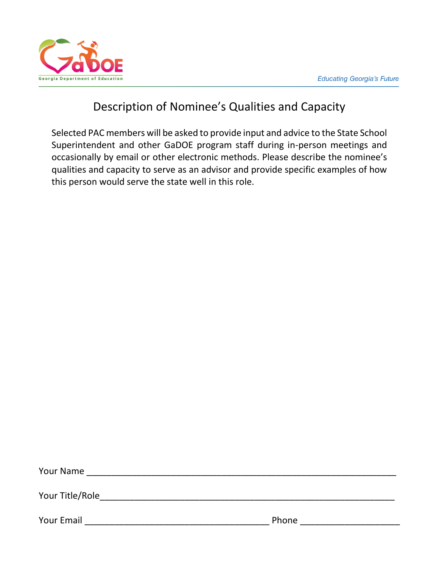

## Description of Nominee's Qualities and Capacity

Selected PAC members will be asked to provide input and advice to the State School Superintendent and other GaDOE program staff during in-person meetings and occasionally by email or other electronic methods. Please describe the nominee's qualities and capacity to serve as an advisor and provide specific examples of how this person would serve the state well in this role.

| Your Name       |       |
|-----------------|-------|
| Your Title/Role |       |
| Your Email      | Phone |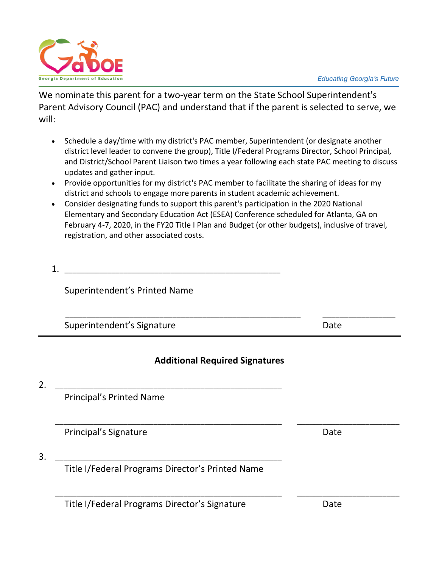

We nominate this parent for a two-year term on the State School Superintendent's Parent Advisory Council (PAC) and understand that if the parent is selected to serve, we will:

- Schedule a day/time with my district's PAC member, Superintendent (or designate another district level leader to convene the group), Title I/Federal Programs Director, School Principal, and District/School Parent Liaison two times a year following each state PAC meeting to discuss updates and gather input.
- Provide opportunities for my district's PAC member to facilitate the sharing of ideas for my district and schools to engage more parents in student academic achievement.
- Consider designating funds to support this parent's participation in the 2020 National Elementary and Secondary Education Act (ESEA) Conference scheduled for Atlanta, GA on February 4-7, 2020, in the FY20 Title I Plan and Budget (or other budgets), inclusive of travel, registration, and other associated costs.
- $1.$

Superintendent's Printed Name

Superintendent's Signature development of the Date

### **Additional Required Signatures**

\_\_\_\_\_\_\_\_\_\_\_\_\_\_\_\_\_\_\_\_\_\_\_\_\_\_\_\_\_\_\_\_\_\_\_\_\_\_\_\_\_\_\_\_\_\_\_\_\_\_\_\_\_ \_\_\_\_\_\_\_\_\_\_\_\_\_\_\_\_\_\_\_\_\_\_\_\_

\_\_\_\_\_\_\_\_\_\_\_\_\_\_\_\_\_\_\_\_\_\_\_\_\_\_\_\_\_\_\_\_\_\_\_\_\_\_\_\_\_\_\_\_\_\_\_\_\_\_\_\_\_ \_\_\_\_\_\_\_\_\_\_\_\_\_\_\_\_\_\_\_\_\_\_\_\_

\_\_\_\_\_\_\_\_\_\_\_\_\_\_\_\_\_\_\_\_\_\_\_\_\_\_\_\_\_\_\_\_\_\_\_\_\_\_\_\_\_\_\_\_\_\_\_\_\_\_\_\_\_\_\_ \_\_\_\_\_\_\_\_\_\_\_\_\_\_\_\_\_

2. \_\_\_\_\_\_\_\_\_\_\_\_\_\_\_\_\_\_\_\_\_\_\_\_\_\_\_\_\_\_\_\_\_\_\_\_\_\_\_\_\_\_\_\_\_\_\_\_\_\_\_\_\_

Principal's Printed Name

Principal's Signature **Date** 

3. \_\_\_\_\_\_\_\_\_\_\_\_\_\_\_\_\_\_\_\_\_\_\_\_\_\_\_\_\_\_\_\_\_\_\_\_\_\_\_\_\_\_\_\_\_\_\_\_\_\_\_\_\_

Title I/Federal Programs Director's Printed Name

Title I/Federal Programs Director's Signature Date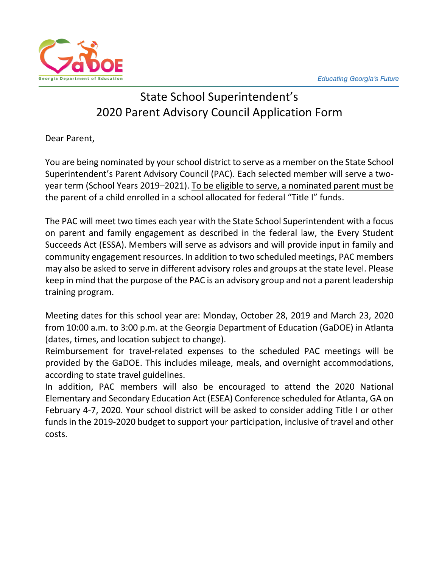

# State School Superintendent's 2020 Parent Advisory Council Application Form

Dear Parent,

You are being nominated by your school district to serve as a member on the State School Superintendent's Parent Advisory Council (PAC). Each selected member will serve a twoyear term (School Years 2019–2021). To be eligible to serve, a nominated parent must be the parent of a child enrolled in a school allocated for federal "Title I" funds.

The PAC will meet two times each year with the State School Superintendent with a focus on parent and family engagement as described in the federal law, the Every Student Succeeds Act (ESSA). Members will serve as advisors and will provide input in family and community engagement resources. In addition to two scheduled meetings, PAC members may also be asked to serve in different advisory roles and groups at the state level. Please keep in mind that the purpose of the PAC is an advisory group and not a parent leadership training program.

Meeting dates for this school year are: Monday, October 28, 2019 and March 23, 2020 from 10:00 a.m. to 3:00 p.m. at the Georgia Department of Education (GaDOE) in Atlanta (dates, times, and location subject to change).

Reimbursement for travel-related expenses to the scheduled PAC meetings will be provided by the GaDOE. This includes mileage, meals, and overnight accommodations, according to state travel guidelines.

In addition, PAC members will also be encouraged to attend the 2020 National Elementary and Secondary Education Act (ESEA) Conference scheduled for Atlanta, GA on February 4-7, 2020. Your school district will be asked to consider adding Title I or other funds in the 2019-2020 budget to support your participation, inclusive of travel and other costs.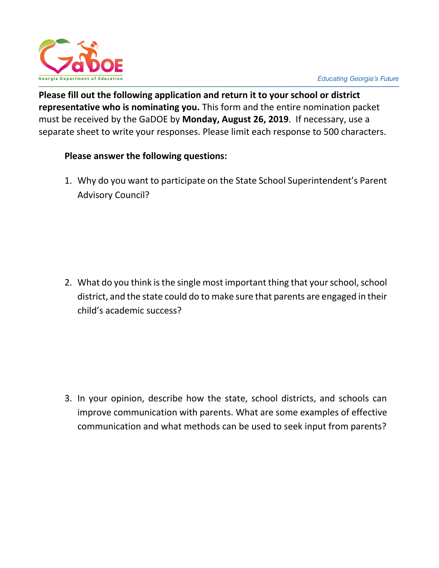

**Please fill out the following application and return it to your school or district representative who is nominating you.** This form and the entire nomination packet must be received by the GaDOE by **Monday, August 26, 2019**. If necessary, use a separate sheet to write your responses. Please limit each response to 500 characters.

#### **Please answer the following questions:**

1. Why do you want to participate on the State School Superintendent's Parent Advisory Council?

2. What do you think is the single most important thing that your school, school district, and the state could do to make sure that parents are engaged in their child's academic success?

3. In your opinion, describe how the state, school districts, and schools can improve communication with parents. What are some examples of effective communication and what methods can be used to seek input from parents?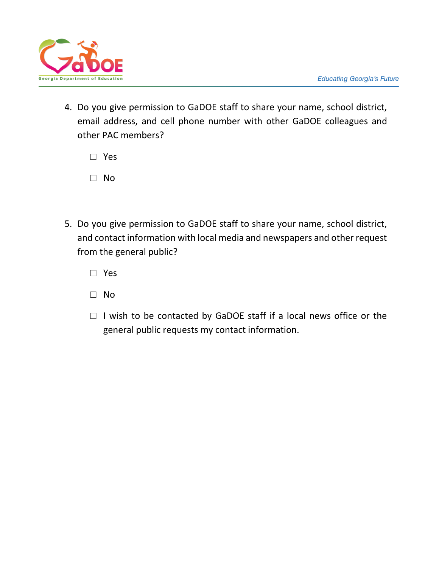

4. Do you give permission to GaDOE staff to share your name, school district, email address, and cell phone number with other GaDOE colleagues and other PAC members?

□ Yes

- □ No
- 5. Do you give permission to GaDOE staff to share your name, school district, and contact information with local media and newspapers and other request from the general public?

□ Yes

- □ No
- $\Box$  I wish to be contacted by GaDOE staff if a local news office or the general public requests my contact information.